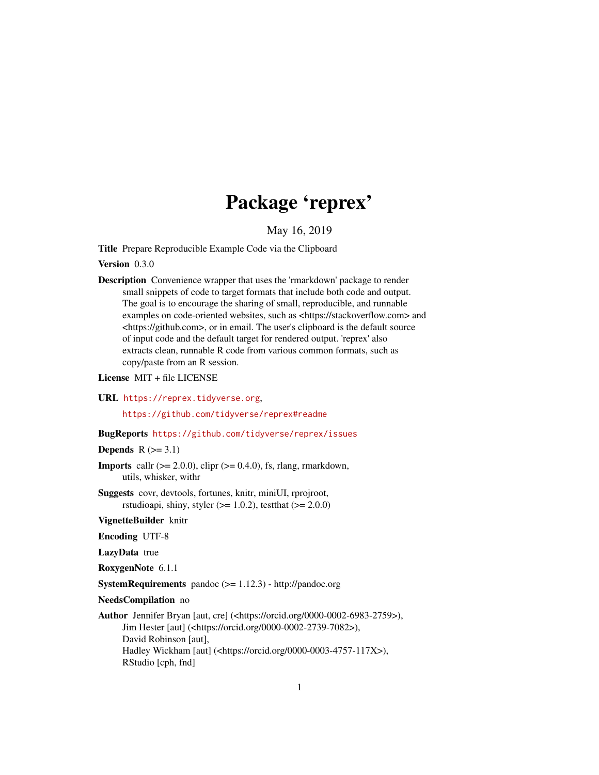# Package 'reprex'

May 16, 2019

<span id="page-0-0"></span>Title Prepare Reproducible Example Code via the Clipboard

Version 0.3.0

Description Convenience wrapper that uses the 'rmarkdown' package to render small snippets of code to target formats that include both code and output. The goal is to encourage the sharing of small, reproducible, and runnable examples on code-oriented websites, such as <https://stackoverflow.com> and <https://github.com>, or in email. The user's clipboard is the default source of input code and the default target for rendered output. 'reprex' also extracts clean, runnable R code from various common formats, such as copy/paste from an R session.

License MIT + file LICENSE

URL <https://reprex.tidyverse.org>,

<https://github.com/tidyverse/reprex#readme>

#### BugReports <https://github.com/tidyverse/reprex/issues>

Depends  $R$  ( $>=$  3.1)

- **Imports** callr  $(>= 2.0.0)$ , clipr  $(>= 0.4.0)$ , fs, rlang, rmarkdown, utils, whisker, withr
- Suggests covr, devtools, fortunes, knitr, miniUI, rprojroot, rstudioapi, shiny, styler  $(>= 1.0.2)$ , testthat  $(>= 2.0.0)$

VignetteBuilder knitr

Encoding UTF-8

LazyData true

RoxygenNote 6.1.1

SystemRequirements pandoc (>= 1.12.3) - http://pandoc.org

NeedsCompilation no

```
Author Jennifer Bryan [aut, cre] (<https://orcid.org/0000-0002-6983-2759>),
     Jim Hester [aut] (<https://orcid.org/0000-0002-2739-7082>),
     David Robinson [aut],
     Hadley Wickham [aut] (<https://orcid.org/0000-0003-4757-117X>),
     RStudio [cph, fnd]
```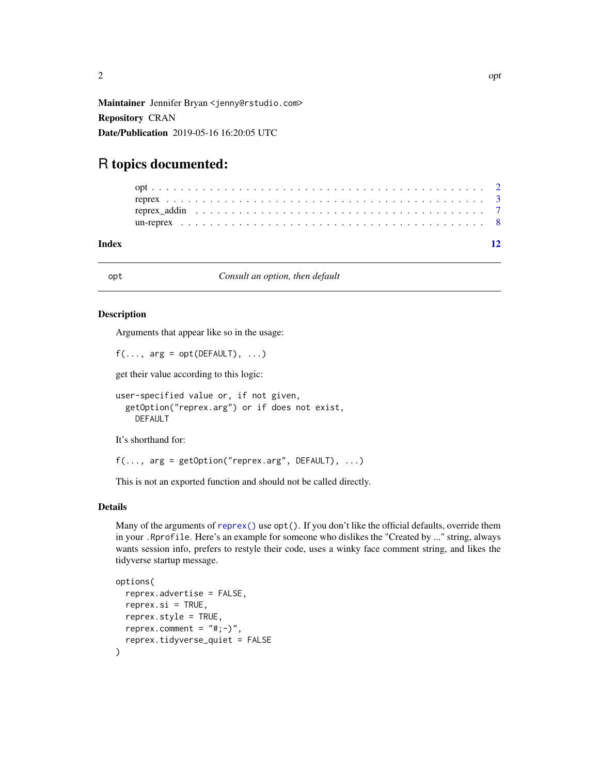<span id="page-1-0"></span>Maintainer Jennifer Bryan <jenny@rstudio.com> Repository CRAN Date/Publication 2019-05-16 16:20:05 UTC

# R topics documented:

#### **Index** [12](#page-11-0)

<span id="page-1-1"></span>opt *Consult an option, then default*

#### Description

Arguments that appear like so in the usage:

```
f(\ldots, \text{arg} = \text{opt}(\text{DEFAULT}), \ldots)
```
get their value according to this logic:

```
user-specified value or, if not given,
  getOption("reprex.arg") or if does not exist,
    DEFAULT
```
It's shorthand for:

```
f(\ldots, \text{arg} = \text{getOption("represent}, \text{DFAULT}), \ldots)
```
This is not an exported function and should not be called directly.

#### Details

Many of the arguments of [reprex\(\)](#page-2-1) use  $opt()$ . If you don't like the official defaults, override them in your .Rprofile. Here's an example for someone who dislikes the "Created by ..." string, always wants session info, prefers to restyle their code, uses a winky face comment string, and likes the tidyverse startup message.

```
options(
  reprex.advertise = FALSE,
  reprev.isi = TRUE,reprex.style = TRUE,
  reprex.comment = "#; -)",
  reprex.tidyverse_quiet = FALSE
)
```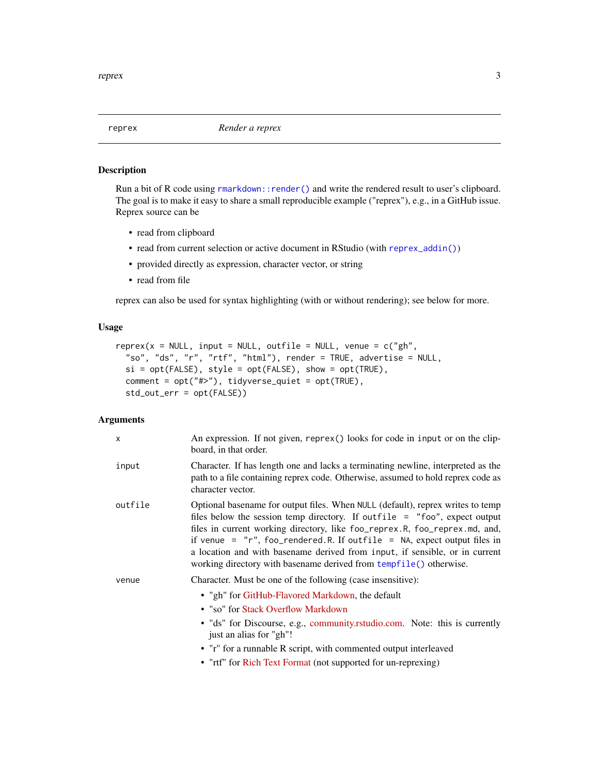<span id="page-2-1"></span><span id="page-2-0"></span>

#### Description

Run a bit of R code using [rmarkdown::render\(\)](#page-0-0) and write the rendered result to user's clipboard. The goal is to make it easy to share a small reproducible example ("reprex"), e.g., in a GitHub issue. Reprex source can be

- read from clipboard
- read from current selection or active document in RStudio (with [reprex\\_addin\(\)](#page-6-1))
- provided directly as expression, character vector, or string
- read from file

reprex can also be used for syntax highlighting (with or without rendering); see below for more.

#### Usage

```
represent(x = NULL, input = NULL, outline = NULL, venue = c("gh",
  "so", "ds", "r", "rtf", "html"), render = TRUE, advertise = NULL,
 si = opt(FALE), style = opt(FALE), show = opt(TRUE),
 comment = opt("#>"), tidyverse_quiet = opt(TRUE),
  std_out_err = opt(FALSE))
```
## Arguments

| X       | An expression. If not given, reprex() looks for code in input or on the clip-<br>board, in that order.                                                                                                                                                                                                                                                                                                                                                                           |
|---------|----------------------------------------------------------------------------------------------------------------------------------------------------------------------------------------------------------------------------------------------------------------------------------------------------------------------------------------------------------------------------------------------------------------------------------------------------------------------------------|
| input   | Character. If has length one and lacks a terminating newline, interpreted as the<br>path to a file containing reprex code. Otherwise, assumed to hold reprex code as<br>character vector.                                                                                                                                                                                                                                                                                        |
| outfile | Optional basename for output files. When NULL (default), reprex writes to temp<br>files below the session temp directory. If outfile $=$ "foo", expect output<br>files in current working directory, like foo_reprex.R, foo_reprex.md, and,<br>if venue = $''r''$ , foo_rendered.R. If outfile = NA, expect output files in<br>a location and with basename derived from input, if sensible, or in current<br>working directory with basename derived from tempfile() otherwise. |
| venue   | Character. Must be one of the following (case insensitive):                                                                                                                                                                                                                                                                                                                                                                                                                      |
|         | • "gh" for GitHub-Flavored Markdown, the default<br>• "so" for Stack Overflow Markdown<br>• "ds" for Discourse, e.g., community.rstudio.com. Note: this is currently<br>just an alias for "gh"!<br>• "r" for a runnable R script, with commented output interleaved                                                                                                                                                                                                              |
|         | • "rtf" for Rich Text Format (not supported for un-reprexing)                                                                                                                                                                                                                                                                                                                                                                                                                    |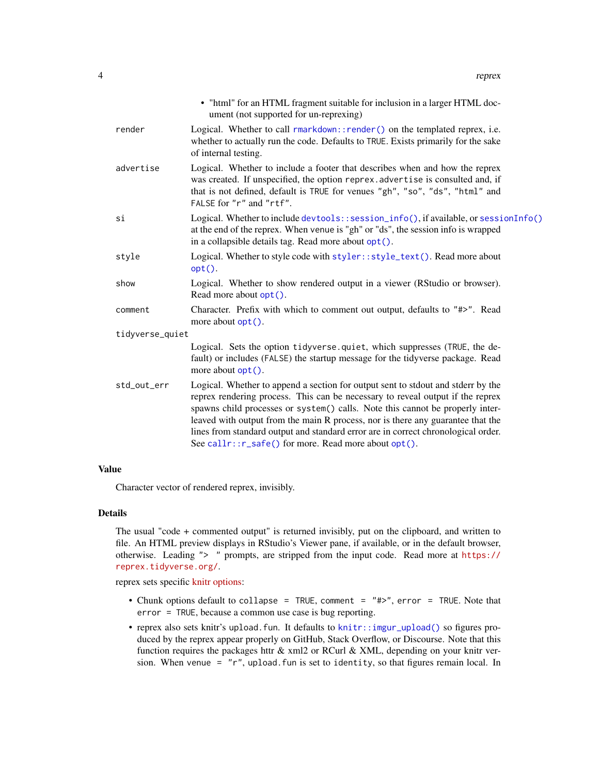<span id="page-3-0"></span>

|                 | • "html" for an HTML fragment suitable for inclusion in a larger HTML doc-<br>ument (not supported for un-reprexing)                                                                                                                                                                                                                                                                                                                                                                 |
|-----------------|--------------------------------------------------------------------------------------------------------------------------------------------------------------------------------------------------------------------------------------------------------------------------------------------------------------------------------------------------------------------------------------------------------------------------------------------------------------------------------------|
| render          | Logical. Whether to call rmarkdown::render() on the templated reprex, i.e.<br>whether to actually run the code. Defaults to TRUE. Exists primarily for the sake<br>of internal testing.                                                                                                                                                                                                                                                                                              |
| advertise       | Logical. Whether to include a footer that describes when and how the reprex<br>was created. If unspecified, the option reprex. advertise is consulted and, if<br>that is not defined, default is TRUE for venues "gh", "so", "ds", "html" and<br>FALSE for "r" and "rtf".                                                                                                                                                                                                            |
| si              | Logical. Whether to include devtools::session_info(), if available, or sessionInfo()<br>at the end of the reprex. When venue is "gh" or "ds", the session info is wrapped<br>in a collapsible details tag. Read more about opt().                                                                                                                                                                                                                                                    |
| style           | Logical. Whether to style code with styler::style_text(). Read more about<br>$opt()$ .                                                                                                                                                                                                                                                                                                                                                                                               |
| show            | Logical. Whether to show rendered output in a viewer (RStudio or browser).<br>Read more about opt().                                                                                                                                                                                                                                                                                                                                                                                 |
| comment         | Character. Prefix with which to comment out output, defaults to "#>". Read<br>more about opt().                                                                                                                                                                                                                                                                                                                                                                                      |
| tidyverse_quiet |                                                                                                                                                                                                                                                                                                                                                                                                                                                                                      |
|                 | Logical. Sets the option tidyverse.quiet, which suppresses (TRUE, the de-<br>fault) or includes (FALSE) the startup message for the tidyverse package. Read<br>more about $opt()$ .                                                                                                                                                                                                                                                                                                  |
| std_out_err     | Logical. Whether to append a section for output sent to stdout and stderr by the<br>reprex rendering process. This can be necessary to reveal output if the reprex<br>spawns child processes or system() calls. Note this cannot be properly inter-<br>leaved with output from the main R process, nor is there any guarantee that the<br>lines from standard output and standard error are in correct chronological order.<br>See callr:: r_safe() for more. Read more about opt(). |
|                 |                                                                                                                                                                                                                                                                                                                                                                                                                                                                                      |

#### Value

Character vector of rendered reprex, invisibly.

#### Details

The usual "code + commented output" is returned invisibly, put on the clipboard, and written to file. An HTML preview displays in RStudio's Viewer pane, if available, or in the default browser, otherwise. Leading "> " prompts, are stripped from the input code. Read more at [https://](https://reprex.tidyverse.org/) [reprex.tidyverse.org/](https://reprex.tidyverse.org/).

reprex sets specific [knitr options:](http://yihui.name/knitr/options/)

- Chunk options default to collapse = TRUE, comment = "#>", error = TRUE. Note that error = TRUE, because a common use case is bug reporting.
- reprex also sets knitr's upload.fun. It defaults to [knitr::imgur\\_upload\(\)](#page-0-0) so figures produced by the reprex appear properly on GitHub, Stack Overflow, or Discourse. Note that this function requires the packages httr & xml2 or RCurl & XML, depending on your knitr version. When venue =  $"r"$ , upload. fun is set to identity, so that figures remain local. In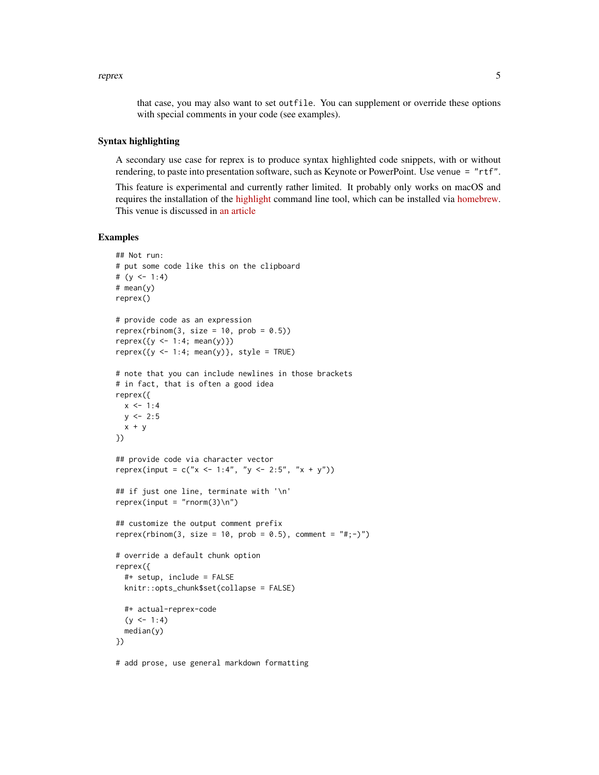reprex 5

that case, you may also want to set outfile. You can supplement or override these options with special comments in your code (see examples).

#### Syntax highlighting

A secondary use case for reprex is to produce syntax highlighted code snippets, with or without rendering, to paste into presentation software, such as Keynote or PowerPoint. Use venue = "rtf".

This feature is experimental and currently rather limited. It probably only works on macOS and requires the installation of the [highlight](http://www.andre-simon.de/doku/highlight/en/highlight.php) command line tool, which can be installed via [homebrew.](https://formulae.brew.sh/formula/highlight) This venue is discussed in [an article](https://reprex.tidyverse.org/articles/articles/rtf.html)

# Examples

```
## Not run:
# put some code like this on the clipboard
# (y \le -1:4)# mean(y)
reprex()
# provide code as an expression
reprex(rbinom(3, size = 10, prob = 0.5))
reprev({y \le -1:4; mean(y)})reprev({y \leq -1:4; mean(y)}, style = TRUE)
# note that you can include newlines in those brackets
# in fact, that is often a good idea
reprex({
 x < -1:4y \le -2:5x + y})
## provide code via character vector
reprex(input = c("x <- 1:4", "y <- 2:5", "x + y"))
## if just one line, terminate with '\n'
reprev(input = "rnorm(3) \n'})## customize the output comment prefix
reprex(rbinom(3, size = 10, prob = 0.5), comment = "#;-)")
# override a default chunk option
reprex({
  #+ setup, include = FALSE
  knitr::opts_chunk$set(collapse = FALSE)
  #+ actual-reprex-code
  (y \le -1:4)median(y)
})
```
# add prose, use general markdown formatting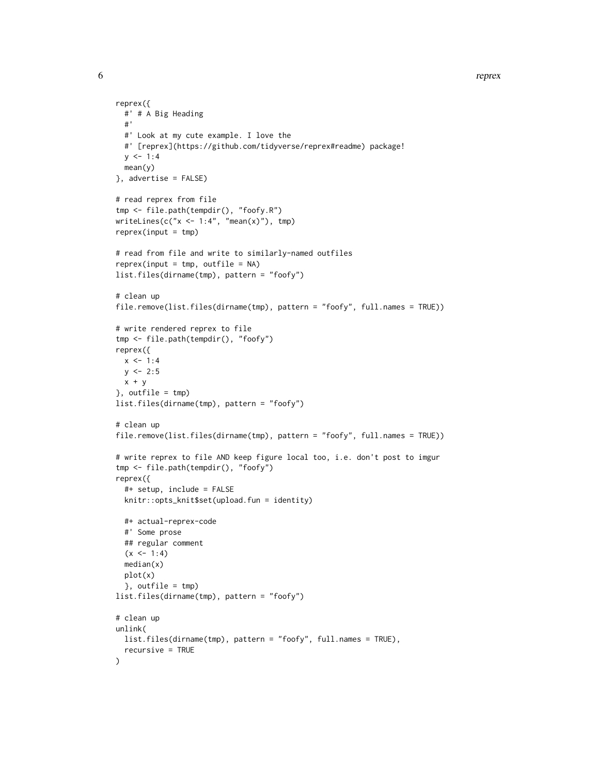```
6 represents the contract of the contract of the contract of the contract of the contract of the contract of the contract of the contract of the contract of the contract of the contract of the contract of the contract of t
```

```
reprex({
  #' # A Big Heading
  #'
  #' Look at my cute example. I love the
  #' [reprex](https://github.com/tidyverse/reprex#readme) package!
 y \le -1:4mean(y)
}, advertise = FALSE)
# read reprex from file
tmp <- file.path(tempdir(), "foofy.R")
writeLines(c("x < -1:4", "mean(x)");reprev(input = tmp)# read from file and write to similarly-named outfiles
reprev(input = tmp, outfile = NA)list.files(dirname(tmp), pattern = "foofy")
# clean up
file.remove(list.files(dirname(tmp), pattern = "foofy", full.names = TRUE))
# write rendered reprex to file
tmp <- file.path(tempdir(), "foofy")
reprex({
 x \le -1:4y \le -2:5x + y}, outfile = tmp)
list.files(dirname(tmp), pattern = "foofy")
# clean up
file.remove(list.files(dirname(tmp), pattern = "foofy", full.names = TRUE))
# write reprex to file AND keep figure local too, i.e. don't post to imgur
tmp <- file.path(tempdir(), "foofy")
reprex({
  #+ setup, include = FALSE
  knitr::opts_knit$set(upload.fun = identity)
  #+ actual-reprex-code
  #' Some prose
  ## regular comment
  (x < -1:4)median(x)
  plot(x)
  }, outfile = tmp)
list.files(dirname(tmp), pattern = "foofy")
# clean up
unlink(
  list.files(dirname(tmp), pattern = "foofy", full.names = TRUE),
  recursive = TRUE
\mathcal{L}
```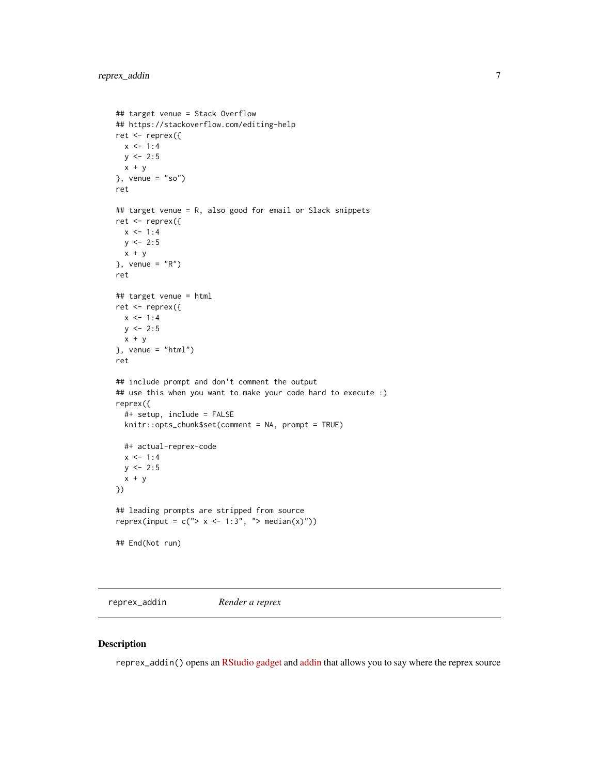```
## target venue = Stack Overflow
## https://stackoverflow.com/editing-help
ret <- reprex({
 x \le -1:4y \le -2:5x + y}, venue = "so")
ret
## target venue = R, also good for email or Slack snippets
ret <- reprex({
 x \le -1:4y \le -2:5x + y}, venue = "R")
ret
## target venue = html
ret <- reprex({
  x < -1:4y \le -2:5x + y}, venue = "html")
ret
## include prompt and don't comment the output
## use this when you want to make your code hard to execute :)
reprex({
  #+ setup, include = FALSE
  knitr::opts_chunk$set(comment = NA, prompt = TRUE)
  #+ actual-reprex-code
  x < -1:4y \le -2:5x + y})
## leading prompts are stripped from source
reprex(input = c("> x < -1:3", "> median(x)"))
## End(Not run)
```
<span id="page-6-1"></span>reprex\_addin *Render a reprex*

#### Description

reprex\_addin() opens an [RStudio gadget](https://shiny.rstudio.com/articles/gadgets.html) and [addin](http://rstudio.github.io/rstudioaddins/) that allows you to say where the reprex source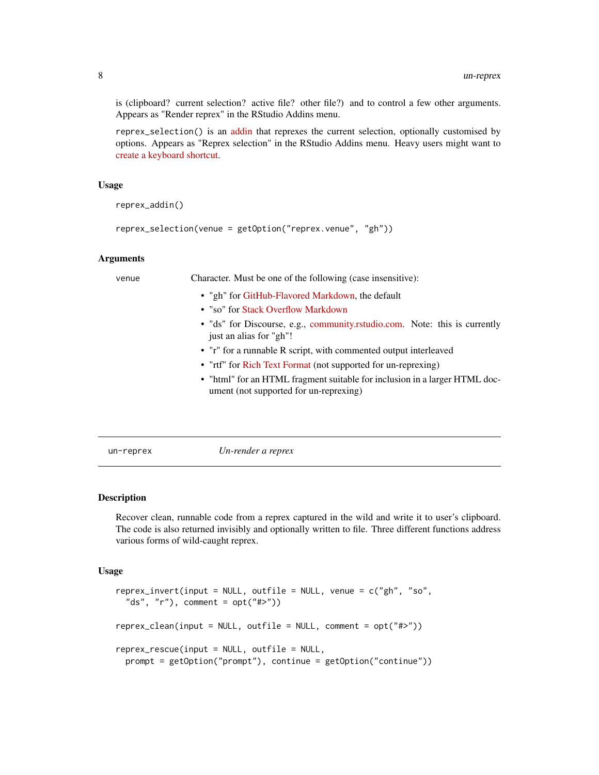is (clipboard? current selection? active file? other file?) and to control a few other arguments. Appears as "Render reprex" in the RStudio Addins menu.

reprex\_selection() is an [addin](http://rstudio.github.io/rstudioaddins/) that reprexes the current selection, optionally customised by options. Appears as "Reprex selection" in the RStudio Addins menu. Heavy users might want to [create a keyboard shortcut.](https://support.rstudio.com/hc/en-us/articles/206382178-Customizing-Keyboard-Shortcuts)

#### Usage

reprex\_addin()

```
reprex_selection(venue = getOption("reprex.venue", "gh"))
```
#### Arguments

| venue | Character. Must be one of the following (case insensitive):                                                          |
|-------|----------------------------------------------------------------------------------------------------------------------|
|       | • "gh" for GitHub-Flavored Markdown, the default                                                                     |
|       | • "so" for Stack Overflow Markdown                                                                                   |
|       | • "ds" for Discourse, e.g., community.rstudio.com. Note: this is currently<br>just an alias for "gh"!                |
|       | • "r" for a runnable R script, with commented output interleaved                                                     |
|       | • "rtf" for Rich Text Format (not supported for un-reprexing)                                                        |
|       | • "html" for an HTML fragment suitable for inclusion in a larger HTML doc-<br>ument (not supported for un-reprexing) |
|       |                                                                                                                      |

un-reprex *Un-render a reprex*

#### Description

Recover clean, runnable code from a reprex captured in the wild and write it to user's clipboard. The code is also returned invisibly and optionally written to file. Three different functions address various forms of wild-caught reprex.

#### Usage

```
reprex_invert(input = NULL, outfile = NULL, venue = c("gh", "so",
  "ds", "r"), comment = opt("#>")reprex_clean(input = NULL, outfile = NULL, comment = opt("#>"))
reprex_rescue(input = NULL, outfile = NULL,
 prompt = getOption("prompt"), continue = getOption("continue"))
```
<span id="page-7-0"></span>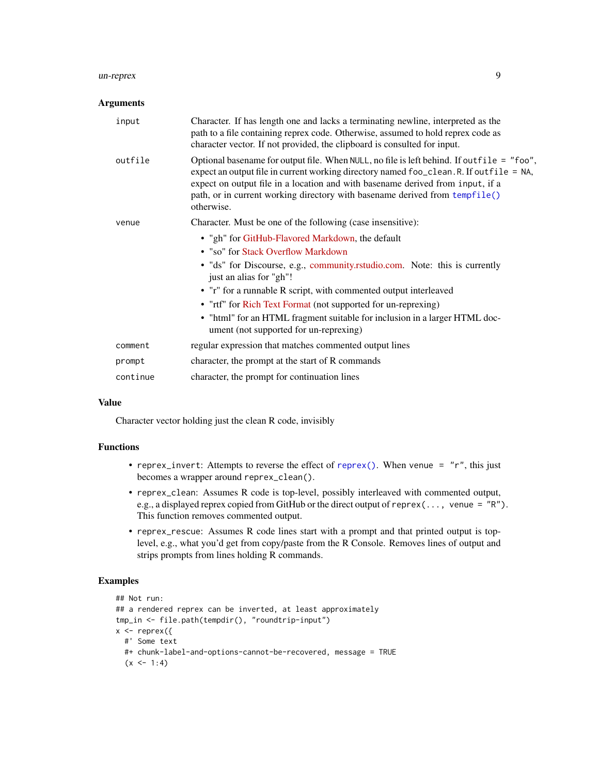#### <span id="page-8-0"></span>un-reprex 9

#### Arguments

| input    | Character. If has length one and lacks a terminating newline, interpreted as the<br>path to a file containing reprex code. Otherwise, assumed to hold reprex code as<br>character vector. If not provided, the clipboard is consulted for input.                                                                                                                    |
|----------|---------------------------------------------------------------------------------------------------------------------------------------------------------------------------------------------------------------------------------------------------------------------------------------------------------------------------------------------------------------------|
| outfile  | Optional basename for output file. When NULL, no file is left behind. If outfile = "foo",<br>expect an output file in current working directory named foo_clean. R. If outfile = NA,<br>expect on output file in a location and with basename derived from input, if a<br>path, or in current working directory with basename derived from tempfile()<br>otherwise. |
| venue    | Character. Must be one of the following (case insensitive):                                                                                                                                                                                                                                                                                                         |
|          | • "gh" for GitHub-Flavored Markdown, the default                                                                                                                                                                                                                                                                                                                    |
|          | • "so" for Stack Overflow Markdown                                                                                                                                                                                                                                                                                                                                  |
|          | · "ds" for Discourse, e.g., community.rstudio.com. Note: this is currently<br>just an alias for "gh"!                                                                                                                                                                                                                                                               |
|          | • "r" for a runnable R script, with commented output interleaved                                                                                                                                                                                                                                                                                                    |
|          | • "rtf" for Rich Text Format (not supported for un-reprexing)                                                                                                                                                                                                                                                                                                       |
|          | • "html" for an HTML fragment suitable for inclusion in a larger HTML doc-<br>ument (not supported for un-reprexing)                                                                                                                                                                                                                                                |
| comment  | regular expression that matches commented output lines                                                                                                                                                                                                                                                                                                              |
| prompt   | character, the prompt at the start of R commands                                                                                                                                                                                                                                                                                                                    |
| continue | character, the prompt for continuation lines                                                                                                                                                                                                                                                                                                                        |

#### Value

Character vector holding just the clean R code, invisibly

### Functions

- reprex\_invert: Attempts to reverse the effect of [reprex\(\)](#page-2-1). When venue =  $"r"$ , this just becomes a wrapper around reprex\_clean().
- reprex\_clean: Assumes R code is top-level, possibly interleaved with commented output, e.g., a displayed reprex copied from GitHub or the direct output of reprex(..., venue =  $"R"$ ). This function removes commented output.
- reprex\_rescue: Assumes R code lines start with a prompt and that printed output is toplevel, e.g., what you'd get from copy/paste from the R Console. Removes lines of output and strips prompts from lines holding R commands.

# Examples

```
## Not run:
## a rendered reprex can be inverted, at least approximately
tmp_in <- file.path(tempdir(), "roundtrip-input")
x \leftarrow reprex({
  #' Some text
  #+ chunk-label-and-options-cannot-be-recovered, message = TRUE
  (x \le -1:4)
```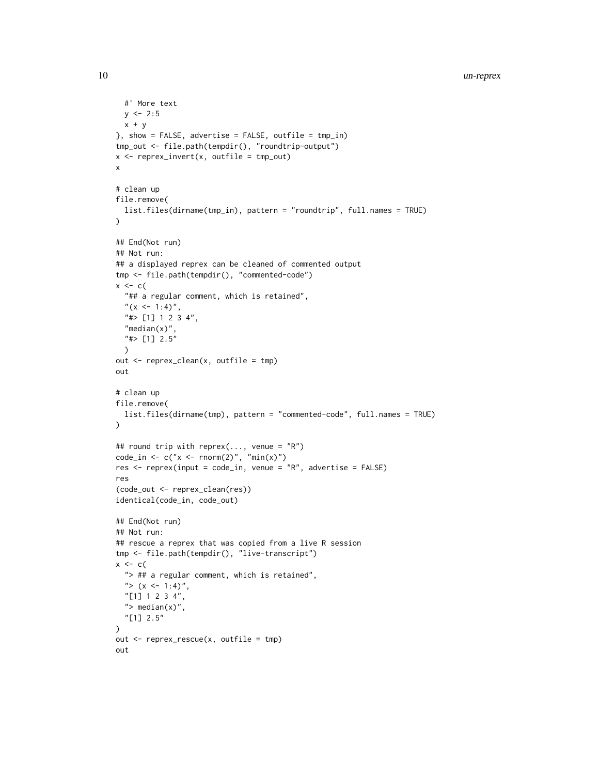```
#' More text
  y \le -2:5x + y}, show = FALSE, advertise = FALSE, outfile = tmp_in)tmp_out <- file.path(tempdir(), "roundtrip-output")
x \leq reprex_invert(x, outfile = tmp_out)
x
# clean up
file.remove(
  list.files(dirname(tmp_in), pattern = "roundtrip", full.names = TRUE)
\lambda## End(Not run)
## Not run:
## a displayed reprex can be cleaned of commented output
tmp <- file.path(tempdir(), "commented-code")
x \leftarrow c (
  "## a regular comment, which is retained",
  "(x <- 1:4)",
  "#> [1] 1 2 3 4",
  "median(x)",
  "#> [1] 2.5"
  )
out <- reprex_clean(x, outfile = tmp)
out
# clean up
file.remove(
  list.files(dirname(tmp), pattern = "commented-code", full.names = TRUE)
)
## round trip with reprex(..., venue = "R")
code_in \leftarrow c("x \leftarrow rnorm(2)", "min(x)")
res <- reprex(input = code_in, venue = "R", advertise = FALSE)
res
(code_out <- reprex_clean(res))
identical(code_in, code_out)
## End(Not run)
## Not run:
## rescue a reprex that was copied from a live R session
tmp <- file.path(tempdir(), "live-transcript")
x \leftarrow c (
  "> ## a regular comment, which is retained",
  "> (x \le -1:4)",
 "[1] 1 2 3 4",
  "> median(x)",
  "[1] 2.5"
\lambdaout <- reprex_rescue(x, outfile = tmp)
out
```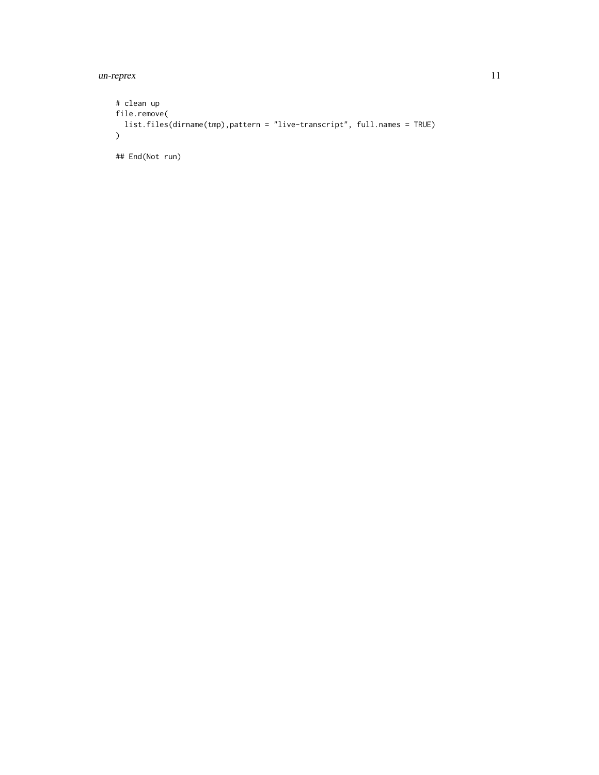un-reprex 11

```
# clean up
file.remove(
 list.files(dirname(tmp),pattern = "live-transcript", full.names = TRUE)
\lambda## End(Not run)
```